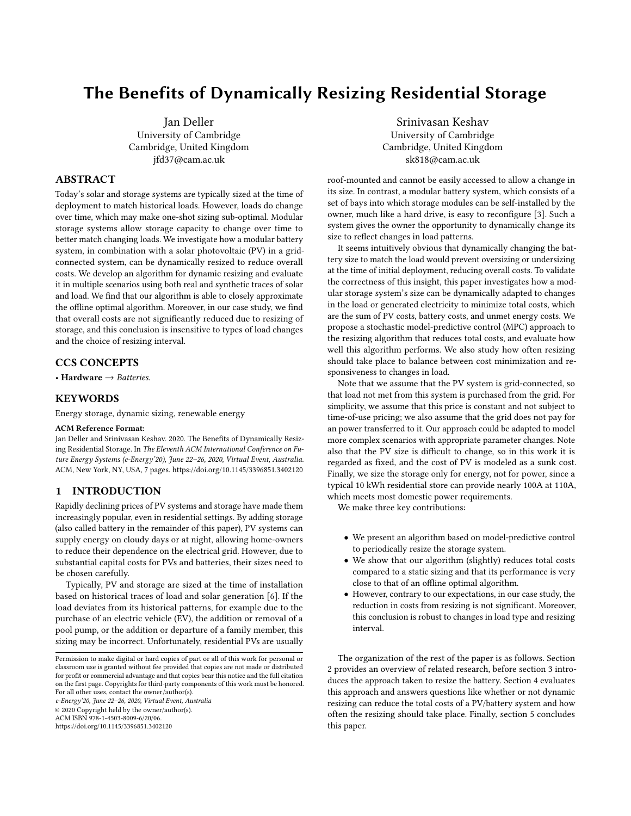# The Benefits of Dynamically Resizing Residential Storage

Jan Deller University of Cambridge Cambridge, United Kingdom jfd37@cam.ac.uk

## ABSTRACT

Today's solar and storage systems are typically sized at the time of deployment to match historical loads. However, loads do change over time, which may make one-shot sizing sub-optimal. Modular storage systems allow storage capacity to change over time to better match changing loads. We investigate how a modular battery system, in combination with a solar photovoltaic (PV) in a gridconnected system, can be dynamically resized to reduce overall costs. We develop an algorithm for dynamic resizing and evaluate it in multiple scenarios using both real and synthetic traces of solar and load. We find that our algorithm is able to closely approximate the offline optimal algorithm. Moreover, in our case study, we find that overall costs are not significantly reduced due to resizing of storage, and this conclusion is insensitive to types of load changes and the choice of resizing interval.

# CCS CONCEPTS

• Hardware  $\rightarrow$  Batteries.

## **KEYWORDS**

Energy storage, dynamic sizing, renewable energy

#### ACM Reference Format:

Jan Deller and Srinivasan Keshav. 2020. The Benefits of Dynamically Resizing Residential Storage. In The Eleventh ACM International Conference on Future Energy Systems (e-Energy'20), June 22–26, 2020, Virtual Event, Australia. ACM, New York, NY, USA, [7](#page-6-0) pages.<https://doi.org/10.1145/3396851.3402120>

## 1 INTRODUCTION

Rapidly declining prices of PV systems and storage have made them increasingly popular, even in residential settings. By adding storage (also called battery in the remainder of this paper), PV systems can supply energy on cloudy days or at night, allowing home-owners to reduce their dependence on the electrical grid. However, due to substantial capital costs for PVs and batteries, their sizes need to be chosen carefully.

Typically, PV and storage are sized at the time of installation based on historical traces of load and solar generation [\[6\]](#page-6-1). If the load deviates from its historical patterns, for example due to the purchase of an electric vehicle (EV), the addition or removal of a pool pump, or the addition or departure of a family member, this sizing may be incorrect. Unfortunately, residential PVs are usually

e-Energy'20, June 22–26, 2020, Virtual Event, Australia © 2020 Copyright held by the owner/author(s).

ACM ISBN 978-1-4503-8009-6/20/06.

<https://doi.org/10.1145/3396851.3402120>

Srinivasan Keshav University of Cambridge Cambridge, United Kingdom sk818@cam.ac.uk

roof-mounted and cannot be easily accessed to allow a change in its size. In contrast, a modular battery system, which consists of a set of bays into which storage modules can be self-installed by the owner, much like a hard drive, is easy to reconfigure [\[3\]](#page-6-2). Such a system gives the owner the opportunity to dynamically change its size to reflect changes in load patterns.

It seems intuitively obvious that dynamically changing the battery size to match the load would prevent oversizing or undersizing at the time of initial deployment, reducing overall costs. To validate the correctness of this insight, this paper investigates how a modular storage system's size can be dynamically adapted to changes in the load or generated electricity to minimize total costs, which are the sum of PV costs, battery costs, and unmet energy costs. We propose a stochastic model-predictive control (MPC) approach to the resizing algorithm that reduces total costs, and evaluate how well this algorithm performs. We also study how often resizing should take place to balance between cost minimization and responsiveness to changes in load.

Note that we assume that the PV system is grid-connected, so that load not met from this system is purchased from the grid. For simplicity, we assume that this price is constant and not subject to time-of-use pricing; we also assume that the grid does not pay for an power transferred to it. Our approach could be adapted to model more complex scenarios with appropriate parameter changes. Note also that the PV size is difficult to change, so in this work it is regarded as fixed, and the cost of PV is modeled as a sunk cost. Finally, we size the storage only for energy, not for power, since a typical 10 kWh residential store can provide nearly 100A at 110A, which meets most domestic power requirements.

We make three key contributions:

- We present an algorithm based on model-predictive control to periodically resize the storage system.
- We show that our algorithm (slightly) reduces total costs compared to a static sizing and that its performance is very close to that of an offline optimal algorithm.
- However, contrary to our expectations, in our case study, the reduction in costs from resizing is not significant. Moreover, this conclusion is robust to changes in load type and resizing interval.

The organization of the rest of the paper is as follows. Section [2](#page-1-0) provides an overview of related research, before section [3](#page-1-1) introduces the approach taken to resize the battery. Section [4](#page-2-0) evaluates this approach and answers questions like whether or not dynamic resizing can reduce the total costs of a PV/battery system and how often the resizing should take place. Finally, section [5](#page-5-0) concludes this paper.

Permission to make digital or hard copies of part or all of this work for personal or classroom use is granted without fee provided that copies are not made or distributed for profit or commercial advantage and that copies bear this notice and the full citation on the first page. Copyrights for third-party components of this work must be honored. For all other uses, contact the owner/author(s).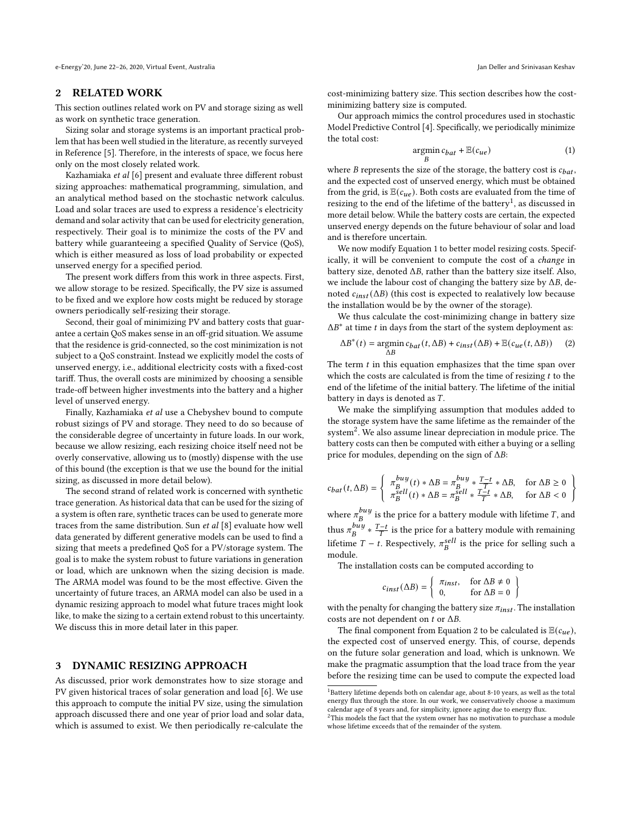e-Energy'20, June 22–26, 2020, Virtual Event, Australia Jan Deller and Srinivasan Keshav

## <span id="page-1-0"></span>2 RELATED WORK

This section outlines related work on PV and storage sizing as well as work on synthetic trace generation.

Sizing solar and storage systems is an important practical problem that has been well studied in the literature, as recently surveyed in Reference [\[5\]](#page-6-3). Therefore, in the interests of space, we focus here only on the most closely related work.

Kazhamiaka et al [\[6\]](#page-6-1) present and evaluate three different robust sizing approaches: mathematical programming, simulation, and an analytical method based on the stochastic network calculus. Load and solar traces are used to express a residence's electricity demand and solar activity that can be used for electricity generation, respectively. Their goal is to minimize the costs of the PV and battery while guaranteeing a specified Quality of Service (QoS), which is either measured as loss of load probability or expected unserved energy for a specified period.

The present work differs from this work in three aspects. First, we allow storage to be resized. Specifically, the PV size is assumed to be fixed and we explore how costs might be reduced by storage owners periodically self-resizing their storage.

Second, their goal of minimizing PV and battery costs that guarantee a certain QoS makes sense in an off-grid situation. We assume that the residence is grid-connected, so the cost minimization is not subject to a QoS constraint. Instead we explicitly model the costs of unserved energy, i.e., additional electricity costs with a fixed-cost tariff. Thus, the overall costs are minimized by choosing a sensible trade-off between higher investments into the battery and a higher level of unserved energy.

Finally, Kazhamiaka et al use a Chebyshev bound to compute robust sizings of PV and storage. They need to do so because of the considerable degree of uncertainty in future loads. In our work, because we allow resizing, each resizing choice itself need not be overly conservative, allowing us to (mostly) dispense with the use of this bound (the exception is that we use the bound for the initial sizing, as discussed in more detail below).

The second strand of related work is concerned with synthetic trace generation. As historical data that can be used for the sizing of a system is often rare, synthetic traces can be used to generate more traces from the same distribution. Sun et al [\[8\]](#page-6-4) evaluate how well data generated by different generative models can be used to find a sizing that meets a predefined QoS for a PV/storage system. The goal is to make the system robust to future variations in generation or load, which are unknown when the sizing decision is made. The ARMA model was found to be the most effective. Given the uncertainty of future traces, an ARMA model can also be used in a dynamic resizing approach to model what future traces might look like, to make the sizing to a certain extend robust to this uncertainty. We discuss this in more detail later in this paper.

## <span id="page-1-1"></span>3 DYNAMIC RESIZING APPROACH

As discussed, prior work demonstrates how to size storage and PV given historical traces of solar generation and load [\[6\]](#page-6-1). We use this approach to compute the initial PV size, using the simulation approach discussed there and one year of prior load and solar data, which is assumed to exist. We then periodically re-calculate the cost-minimizing battery size. This section describes how the costminimizing battery size is computed.

Our approach mimics the control procedures used in stochastic Model Predictive Control [\[4\]](#page-6-5). Specifically, we periodically minimize the total cost:

<span id="page-1-3"></span>
$$
\mathop{\rm argmin}_B c_{bat} + \mathbb{E}(c_{ue})\tag{1}
$$

where  $B$  represents the size of the storage, the battery cost is  $c_{bat}$ , and the expected cost of unserved energy, which must be obtained from the grid, is  $\mathbb{E}(c_{ue})$ . Both costs are evaluated from the time of resizing to the end of the lifetime of the battery<sup>[1](#page-1-2)</sup>, as discussed in more detail below. While the battery costs are certain, the expected unserved energy depends on the future behaviour of solar and load and is therefore uncertain.

We now modify Equation [1](#page-1-3) to better model resizing costs. Specifically, it will be convenient to compute the cost of a change in battery size, denoted  $\Delta B$ , rather than the battery size itself. Also, we include the labour cost of changing the battery size by  $\Delta B$ , denoted  $c_{inst}(\Delta B)$  (this cost is expected to realatively low because the installation would be by the owner of the storage).

We thus calculate the cost-minimizing change in battery size  $\Delta B^*$  at time t in days from the start of the system deployment as:

<span id="page-1-5"></span>
$$
\Delta B^*(t) = \operatornamewithlimits{argmin}_{\Delta B} c_{bat}(t, \Delta B) + c_{inst}(\Delta B) + \mathbb{E}(c_{ue}(t, \Delta B)) \quad \text{(2)}
$$

The term  $t$  in this equation emphasizes that the time span over which the costs are calculated is from the time of resizing  $t$  to the end of the lifetime of the initial battery. The lifetime of the initial battery in days is denoted as  $T$ .

We make the simplifying assumption that modules added to the storage system have the same lifetime as the remainder of the system<sup>[2](#page-1-4)</sup>. We also assume linear depreciation in module price. The battery costs can then be computed with either a buying or a selling price for modules, depending on the sign of  $\Delta B:$ 

$$
c_{bat}(t,\Delta B)=\left\{\begin{array}{ll} \pi^{buy}_B(t)*\Delta B=\pi^{buy}_B*\frac{T-t}{T}*\Delta B, & \textrm{for}\ \Delta B\geq 0\\ \pi^{sell}_B(t)*\Delta B=\pi^{sell}_B*\frac{T-t}{T}*\Delta B, & \textrm{for}\ \Delta B<0 \end{array}\right\}
$$

where  $\pi_R^{buy}$  $i_B^{buy}$  is the price for a battery module with lifetime  $T$ , and thus  $\pi_R^{buy}$  $\frac{b u y}{B} * \frac{T-t}{T}$  is the price for a battery module with remaining lifetime  $T - t$ . Respectively,  $\pi_B^{sell}$  is the price for selling such a module.

The installation costs can be computed according to

$$
c_{inst}(\Delta B) = \left\{ \begin{array}{ll} \pi_{inst}, & \text{for } \Delta B \neq 0 \\ 0, & \text{for } \Delta B = 0 \end{array} \right\}
$$

with the penalty for changing the battery size  $\pi_{inst}$ . The installation costs are not dependent on  $t$  or  $\Delta B$ .

The final component from Equation [2](#page-1-5) to be calculated is  $\mathbb{E}(c_{ue})$ , the expected cost of unserved energy. This, of course, depends on the future solar generation and load, which is unknown. We make the pragmatic assumption that the load trace from the year before the resizing time can be used to compute the expected load

<span id="page-1-2"></span> $^{\rm 1}$  Battery lifetime depends both on calendar age, about 8-10 years, as well as the total energy flux through the store. In our work, we conservatively choose a maximum calendar age of 8 years and, for simplicity, ignore aging due to energy flux.

<span id="page-1-4"></span> $2$ This models the fact that the system owner has no motivation to purchase a module whose lifetime exceeds that of the remainder of the system.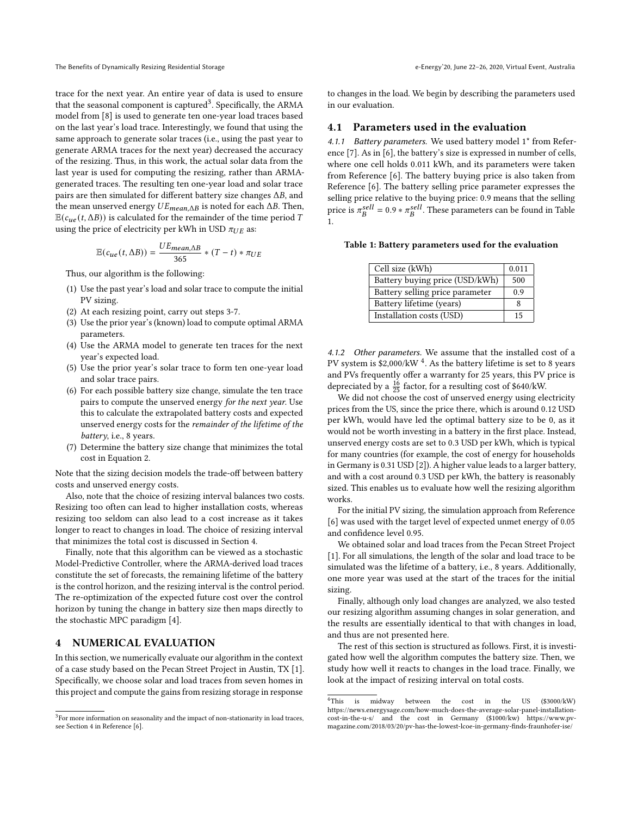trace for the next year. An entire year of data is used to ensure that the seasonal component is captured<sup>[3](#page-2-1)</sup>. Specifically, the ARMA model from [\[8\]](#page-6-4) is used to generate ten one-year load traces based on the last year's load trace. Interestingly, we found that using the same approach to generate solar traces (i.e., using the past year to generate ARMA traces for the next year) decreased the accuracy of the resizing. Thus, in this work, the actual solar data from the last year is used for computing the resizing, rather than ARMAgenerated traces. The resulting ten one-year load and solar trace pairs are then simulated for different battery size changes  $\Delta B$ , and the mean unserved energy  $UE_{mean\Delta B}$  is noted for each  $\Delta B$ . Then,  $\mathbb{E}(c_{ue}(t, \Delta B))$  is calculated for the remainder of the time period T using the price of electricity per kWh in USD  $\pi_{UE}$  as:

$$
\mathbb{E}(c_{ue}(t,\Delta B)) = \frac{UE_{mean,\Delta B}}{365} * (T-t) * \pi_{UE}
$$

Thus, our algorithm is the following:

- (1) Use the past year's load and solar trace to compute the initial PV sizing.
- (2) At each resizing point, carry out steps 3-7.
- (3) Use the prior year's (known) load to compute optimal ARMA parameters.
- (4) Use the ARMA model to generate ten traces for the next year's expected load.
- (5) Use the prior year's solar trace to form ten one-year load and solar trace pairs.
- (6) For each possible battery size change, simulate the ten trace pairs to compute the unserved energy for the next year. Use this to calculate the extrapolated battery costs and expected unserved energy costs for the remainder of the lifetime of the battery, i.e., 8 years.
- (7) Determine the battery size change that minimizes the total cost in Equation 2.

Note that the sizing decision models the trade-off between battery costs and unserved energy costs.

Also, note that the choice of resizing interval balances two costs. Resizing too often can lead to higher installation costs, whereas resizing too seldom can also lead to a cost increase as it takes longer to react to changes in load. The choice of resizing interval that minimizes the total cost is discussed in Section [4.](#page-2-0)

Finally, note that this algorithm can be viewed as a stochastic Model-Predictive Controller, where the ARMA-derived load traces constitute the set of forecasts, the remaining lifetime of the battery is the control horizon, and the resizing interval is the control period. The re-optimization of the expected future cost over the control horizon by tuning the change in battery size then maps directly to the stochastic MPC paradigm [\[4\]](#page-6-5).

# <span id="page-2-0"></span>4 NUMERICAL EVALUATION

In this section, we numerically evaluate our algorithm in the context of a case study based on the Pecan Street Project in Austin, TX [\[1\]](#page-6-6). Specifically, we choose solar and load traces from seven homes in this project and compute the gains from resizing storage in response

to changes in the load. We begin by describing the parameters used in our evaluation.

#### 4.1 Parameters used in the evaluation

4.1.1 Battery parameters. We used battery model 1<sup>\*</sup> from Reference [\[7\]](#page-6-7). As in [\[6\]](#page-6-1), the battery's size is expressed in number of cells, where one cell holds 0.011 kWh, and its parameters were taken from Reference [\[6\]](#page-6-1). The battery buying price is also taken from Reference [\[6\]](#page-6-1). The battery selling price parameter expresses the selling price relative to the buying price: 0.9 means that the selling price is  $\pi_B^{sell} = 0.9 * \pi_B^{sell}$ . These parameters can be found in Table [1.](#page-2-2)

<span id="page-2-2"></span>Table 1: Battery parameters used for the evaluation

| Cell size (kWh)                 | 0.011 |
|---------------------------------|-------|
| Battery buying price (USD/kWh)  | 500   |
| Battery selling price parameter | 0.9   |
| Battery lifetime (years)        | 8     |
| Installation costs (USD)        | 15    |

4.1.2 Other parameters. We assume that the installed cost of a PV system is  $$2,000/kW$   $^{4}$  $^{4}$  $^{4}$ . As the battery lifetime is set to 8 years and PVs frequently offer a warranty for 25 years, this PV price is depreciated by a  $\frac{16}{25}$  factor, for a resulting cost of \$640/kW.

We did not choose the cost of unserved energy using electricity prices from the US, since the price there, which is around 0.12 USD per kWh, would have led the optimal battery size to be 0, as it would not be worth investing in a battery in the first place. Instead, unserved energy costs are set to 0.3 USD per kWh, which is typical for many countries (for example, the cost of energy for households in Germany is 0.31 USD [\[2\]](#page-6-8)). A higher value leads to a larger battery, and with a cost around 0.3 USD per kWh, the battery is reasonably sized. This enables us to evaluate how well the resizing algorithm works.

For the initial PV sizing, the simulation approach from Reference [\[6\]](#page-6-1) was used with the target level of expected unmet energy of 0.05 and confidence level 0.95.

We obtained solar and load traces from the Pecan Street Project [\[1\]](#page-6-6). For all simulations, the length of the solar and load trace to be simulated was the lifetime of a battery, i.e., 8 years. Additionally, one more year was used at the start of the traces for the initial sizing.

Finally, although only load changes are analyzed, we also tested our resizing algorithm assuming changes in solar generation, and the results are essentially identical to that with changes in load, and thus are not presented here.

The rest of this section is structured as follows. First, it is investigated how well the algorithm computes the battery size. Then, we study how well it reacts to changes in the load trace. Finally, we look at the impact of resizing interval on total costs.

<span id="page-2-1"></span> $3$ For more information on seasonality and the impact of non-stationarity in load traces, see Section 4 in Reference [\[6\]](#page-6-1).

<span id="page-2-3"></span><sup>4</sup>This is midway between the cost in the US (\$3000/kW) https://news.energysage.com/how-much-does-the-average-solar-panel-installationcost-in-the-u-s/ and the cost in Germany (\$1000/kw) https://www.pvmagazine.com/2018/03/20/pv-has-the-lowest-lcoe-in-germany-finds-fraunhofer-ise/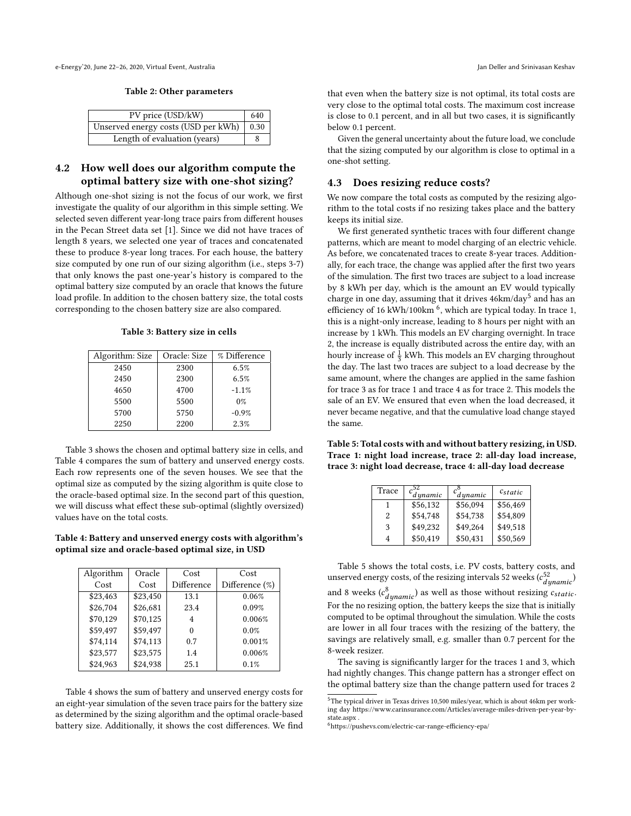#### Table 2: Other parameters

| PV price (USD/kW)                   | 640  |
|-------------------------------------|------|
| Unserved energy costs (USD per kWh) | 0.30 |
| Length of evaluation (years)        |      |

# 4.2 How well does our algorithm compute the optimal battery size with one-shot sizing?

Although one-shot sizing is not the focus of our work, we first investigate the quality of our algorithm in this simple setting. We selected seven different year-long trace pairs from different houses in the Pecan Street data set [\[1\]](#page-6-6). Since we did not have traces of length 8 years, we selected one year of traces and concatenated these to produce 8-year long traces. For each house, the battery size computed by one run of our sizing algorithm (i.e., steps 3-7) that only knows the past one-year's history is compared to the optimal battery size computed by an oracle that knows the future load profile. In addition to the chosen battery size, the total costs corresponding to the chosen battery size are also compared.

Table 3: Battery size in cells

<span id="page-3-0"></span>

| Algorithm: Size | Oracle: Size | % Difference |
|-----------------|--------------|--------------|
| 2450            | 2300         | 6.5%         |
| 2450            | 2300         | 6.5%         |
| 4650            | 4700         | $-1.1%$      |
| 5500            | 5500         | $0\%$        |
| 5700            | 5750         | $-0.9%$      |
| 2250            | 2200         | 2.3%         |

Table [3](#page-3-0) shows the chosen and optimal battery size in cells, and Table [4](#page-3-1) compares the sum of battery and unserved energy costs. Each row represents one of the seven houses. We see that the optimal size as computed by the sizing algorithm is quite close to the oracle-based optimal size. In the second part of this question, we will discuss what effect these sub-optimal (slightly oversized) values have on the total costs.

<span id="page-3-1"></span>Table 4: Battery and unserved energy costs with algorithm's optimal size and oracle-based optimal size, in USD

| Algorithm | Oracle   | Cost       | Cost           |
|-----------|----------|------------|----------------|
| Cost      | Cost     | Difference | Difference (%) |
| \$23.463  | \$23,450 | 13.1       | 0.06%          |
| \$26.704  | \$26,681 | 23.4       | 0.09%          |
| \$70,129  | \$70,125 | 4          | 0.006%         |
| \$59.497  | \$59,497 |            | 0.0%           |
| \$74,114  | \$74,113 | 0.7        | 0.001%         |
| \$23,577  | \$23,575 | 1.4        | 0.006%         |
| \$24.963  | \$24.938 | 25.1       | 0.1%           |

Table [4](#page-3-1) shows the sum of battery and unserved energy costs for an eight-year simulation of the seven trace pairs for the battery size as determined by the sizing algorithm and the optimal oracle-based battery size. Additionally, it shows the cost differences. We find that even when the battery size is not optimal, its total costs are very close to the optimal total costs. The maximum cost increase is close to 0.1 percent, and in all but two cases, it is significantly below 0.1 percent.

Given the general uncertainty about the future load, we conclude that the sizing computed by our algorithm is close to optimal in a one-shot setting.

#### 4.3 Does resizing reduce costs?

We now compare the total costs as computed by the resizing algorithm to the total costs if no resizing takes place and the battery keeps its initial size.

We first generated synthetic traces with four different change patterns, which are meant to model charging of an electric vehicle. As before, we concatenated traces to create 8-year traces. Additionally, for each trace, the change was applied after the first two years of the simulation. The first two traces are subject to a load increase by 8 kWh per day, which is the amount an EV would typically charge in one day, assuming that it drives  $46{\rm km}/{\rm day}^5$  $46{\rm km}/{\rm day}^5$  and has an efficiency of 1[6](#page-3-3) kWh/100km  $^6$ , which are typical today. In trace 1, this is a night-only increase, leading to 8 hours per night with an increase by 1 kWh. This models an EV charging overnight. In trace 2, the increase is equally distributed across the entire day, with an hourly increase of  $\frac{1}{3}$  kWh. This models an EV charging throughout the day. The last two traces are subject to a load decrease by the same amount, where the changes are applied in the same fashion for trace 3 as for trace 1 and trace 4 as for trace 2. This models the sale of an EV. We ensured that even when the load decreased, it never became negative, and that the cumulative load change stayed the same.

<span id="page-3-4"></span>Table 5: Total costs with and without battery resizing, in USD. Trace 1: night load increase, trace 2: all-day load increase, trace 3: night load decrease, trace 4: all-day load decrease

| Trace         | -52<br>dynamic | $c_{dynamic}^8$ | $c_{static}$ |
|---------------|----------------|-----------------|--------------|
|               | \$56,132       | \$56,094        | \$56,469     |
| $\mathcal{L}$ | \$54,748       | \$54,738        | \$54,809     |
| 3             | \$49,232       | \$49,264        | \$49,518     |
|               | \$50,419       | \$50,431        | \$50,569     |

Table [5](#page-3-4) shows the total costs, i.e. PV costs, battery costs, and unserved energy costs, of the resizing intervals 52 weeks  $(c_{d'unamic}^{52})$ and 8 weeks  $(c_{dynamic}^8)$  as well as those without resizing  $c_{static}$ . For the no resizing option, the battery keeps the size that is initially computed to be optimal throughout the simulation. While the costs are lower in all four traces with the resizing of the battery, the savings are relatively small, e.g. smaller than 0.7 percent for the 8-week resizer.

The saving is significantly larger for the traces 1 and 3, which had nightly changes. This change pattern has a stronger effect on the optimal battery size than the change pattern used for traces 2

<span id="page-3-2"></span> $^{5}\mathrm{The}$  typical driver in Texas drives 10,500 miles/year, which is about 46km per working day https://www.carinsurance.com/Articles/average-miles-driven-per-year-bystate.aspx .

<span id="page-3-3"></span><sup>6</sup>https://pushevs.com/electric-car-range-efficiency-epa/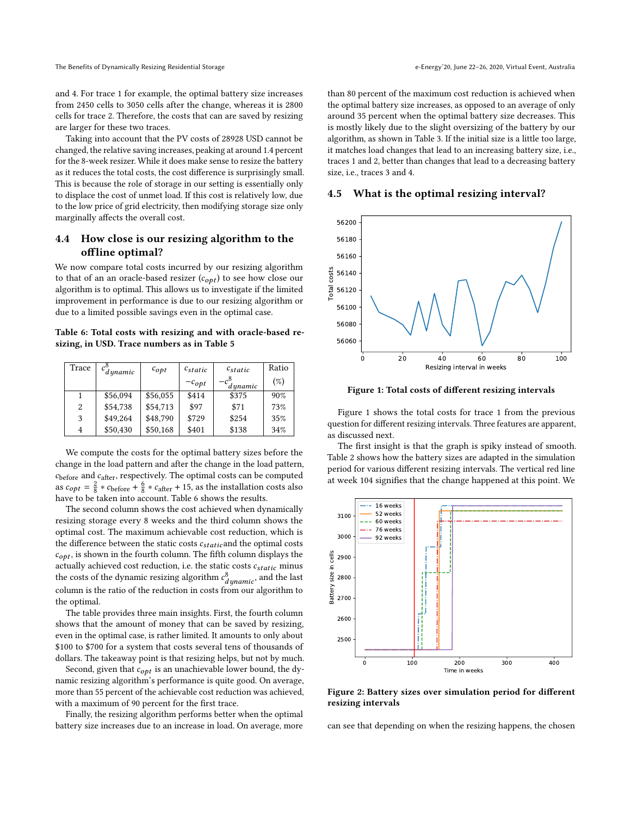and 4. For trace 1 for example, the optimal battery size increases from 2450 cells to 3050 cells after the change, whereas it is 2800 cells for trace 2. Therefore, the costs that can are saved by resizing are larger for these two traces.

Taking into account that the PV costs of 28928 USD cannot be changed, the relative saving increases, peaking at around 1.4 percent for the 8-week resizer. While it does make sense to resize the battery as it reduces the total costs, the cost difference is surprisingly small. This is because the role of storage in our setting is essentially only to displace the cost of unmet load. If this cost is relatively low, due to the low price of grid electricity, then modifying storage size only marginally affects the overall cost.

# 4.4 How close is our resizing algorithm to the offline optimal?

We now compare total costs incurred by our resizing algorithm to that of an an oracle-based resizer  $(c_{opt})$  to see how close our algorithm is to optimal. This allows us to investigate if the limited improvement in performance is due to our resizing algorithm or due to a limited possible savings even in the optimal case.

<span id="page-4-0"></span>Table 6: Total costs with resizing and with oracle-based resizing, in USD. Trace numbers as in Table [5](#page-3-4)

| Trace | $c^{\circ}_{dynamic}$ | $c_{opt}$ | $c_{static}$ | $c_{static}$              | Ratio |
|-------|-----------------------|-----------|--------------|---------------------------|-------|
|       |                       |           | $-c_{opt}$   | $-c^{\delta}$<br>d ynamic | (%)   |
|       | \$56,094              | \$56,055  | \$414        | \$375                     | 90%   |
| 2     | \$54,738              | \$54,713  | \$97         | \$71                      | 73%   |
| 3     | \$49.264              | \$48,790  | \$729        | \$254                     | 35%   |
| 4     | \$50,430              | \$50,168  | \$401        | \$138                     | 34%   |

We compute the costs for the optimal battery sizes before the change in the load pattern and after the change in the load pattern,  $c_{\rm before}$  and  $c_{\rm after}$ , respectively. The optimal costs can be computed as  $c_{opt} = \frac{2}{8} * c_{before} + \frac{6}{8} * c_{after} + 15$ , as the installation costs also have to be taken into account. Table [6](#page-4-0) shows the results.

The second column shows the cost achieved when dynamically resizing storage every 8 weeks and the third column shows the optimal cost. The maximum achievable cost reduction, which is the difference between the static costs  $c_{static}$  and the optimal costs  $c_{opt}$ , is shown in the fourth column. The fifth column displays the actually achieved cost reduction, i.e. the static costs  $c_{static}$  minus the costs of the dynamic resizing algorithm  $c_{d'umamic}^{8}$ , and the last column is the ratio of the reduction in costs from our algorithm to the optimal.

The table provides three main insights. First, the fourth column shows that the amount of money that can be saved by resizing, even in the optimal case, is rather limited. It amounts to only about \$100 to \$700 for a system that costs several tens of thousands of dollars. The takeaway point is that resizing helps, but not by much.

Second, given that  $c_{opt}$  is an unachievable lower bound, the dynamic resizing algorithm's performance is quite good. On average, more than 55 percent of the achievable cost reduction was achieved, with a maximum of 90 percent for the first trace.

Finally, the resizing algorithm performs better when the optimal battery size increases due to an increase in load. On average, more than 80 percent of the maximum cost reduction is achieved when the optimal battery size increases, as opposed to an average of only around 35 percent when the optimal battery size decreases. This is mostly likely due to the slight oversizing of the battery by our algorithm, as shown in Table [3.](#page-3-0) If the initial size is a little too large, it matches load changes that lead to an increasing battery size, i.e., traces 1 and 2, better than changes that lead to a decreasing battery size, i.e., traces 3 and 4.

# 4.5 What is the optimal resizing interval?

<span id="page-4-1"></span>

Figure 1: Total costs of different resizing intervals

Figure [1](#page-4-1) shows the total costs for trace 1 from the previous question for different resizing intervals. Three features are apparent, as discussed next.

The first insight is that the graph is spiky instead of smooth. Table [2](#page-4-2) shows how the battery sizes are adapted in the simulation period for various different resizing intervals. The vertical red line at week 104 signifies that the change happened at this point. We

<span id="page-4-2"></span>

Figure 2: Battery sizes over simulation period for different resizing intervals

can see that depending on when the resizing happens, the chosen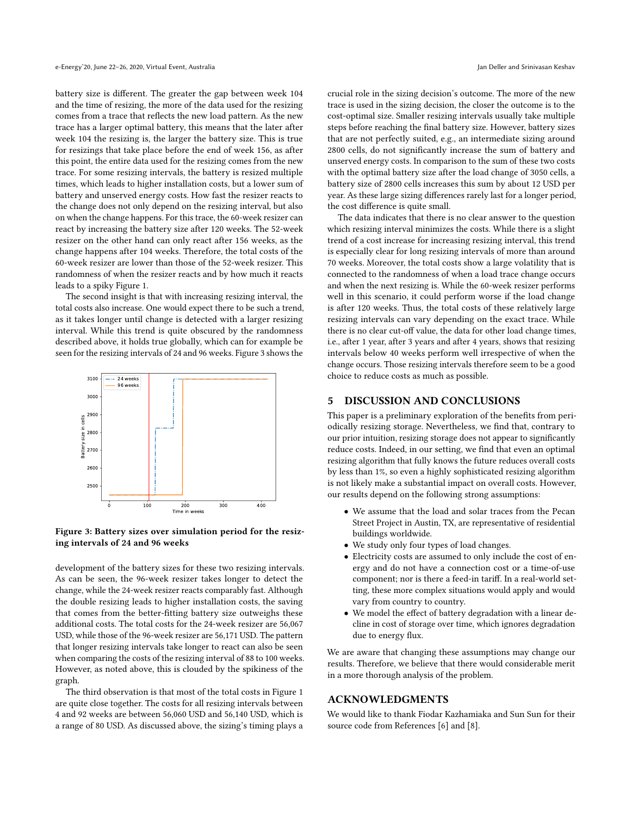battery size is different. The greater the gap between week 104 and the time of resizing, the more of the data used for the resizing comes from a trace that reflects the new load pattern. As the new trace has a larger optimal battery, this means that the later after week 104 the resizing is, the larger the battery size. This is true for resizings that take place before the end of week 156, as after this point, the entire data used for the resizing comes from the new trace. For some resizing intervals, the battery is resized multiple times, which leads to higher installation costs, but a lower sum of battery and unserved energy costs. How fast the resizer reacts to the change does not only depend on the resizing interval, but also on when the change happens. For this trace, the 60-week resizer can react by increasing the battery size after 120 weeks. The 52-week resizer on the other hand can only react after 156 weeks, as the change happens after 104 weeks. Therefore, the total costs of the 60-week resizer are lower than those of the 52-week resizer. This randomness of when the resizer reacts and by how much it reacts leads to a spiky Figure [1.](#page-4-1)

The second insight is that with increasing resizing interval, the total costs also increase. One would expect there to be such a trend, as it takes longer until change is detected with a larger resizing interval. While this trend is quite obscured by the randomness described above, it holds true globally, which can for example be seen for the resizing intervals of 24 and 96 weeks. Figure [3](#page-5-1) shows the

<span id="page-5-1"></span>

Figure 3: Battery sizes over simulation period for the resizing intervals of 24 and 96 weeks

development of the battery sizes for these two resizing intervals. As can be seen, the 96-week resizer takes longer to detect the change, while the 24-week resizer reacts comparably fast. Although the double resizing leads to higher installation costs, the saving that comes from the better-fitting battery size outweighs these additional costs. The total costs for the 24-week resizer are 56,067 USD, while those of the 96-week resizer are 56,171 USD. The pattern that longer resizing intervals take longer to react can also be seen when comparing the costs of the resizing interval of 88 to 100 weeks. However, as noted above, this is clouded by the spikiness of the graph.

The third observation is that most of the total costs in Figure [1](#page-4-1) are quite close together. The costs for all resizing intervals between 4 and 92 weeks are between 56,060 USD and 56,140 USD, which is a range of 80 USD. As discussed above, the sizing's timing plays a crucial role in the sizing decision's outcome. The more of the new trace is used in the sizing decision, the closer the outcome is to the cost-optimal size. Smaller resizing intervals usually take multiple steps before reaching the final battery size. However, battery sizes that are not perfectly suited, e.g., an intermediate sizing around 2800 cells, do not significantly increase the sum of battery and unserved energy costs. In comparison to the sum of these two costs with the optimal battery size after the load change of 3050 cells, a battery size of 2800 cells increases this sum by about 12 USD per year. As these large sizing differences rarely last for a longer period, the cost difference is quite small.

The data indicates that there is no clear answer to the question which resizing interval minimizes the costs. While there is a slight trend of a cost increase for increasing resizing interval, this trend is especially clear for long resizing intervals of more than around 70 weeks. Moreover, the total costs show a large volatility that is connected to the randomness of when a load trace change occurs and when the next resizing is. While the 60-week resizer performs well in this scenario, it could perform worse if the load change is after 120 weeks. Thus, the total costs of these relatively large resizing intervals can vary depending on the exact trace. While there is no clear cut-off value, the data for other load change times, i.e., after 1 year, after 3 years and after 4 years, shows that resizing intervals below 40 weeks perform well irrespective of when the change occurs. Those resizing intervals therefore seem to be a good choice to reduce costs as much as possible.

# <span id="page-5-0"></span>5 DISCUSSION AND CONCLUSIONS

This paper is a preliminary exploration of the benefits from periodically resizing storage. Nevertheless, we find that, contrary to our prior intuition, resizing storage does not appear to significantly reduce costs. Indeed, in our setting, we find that even an optimal resizing algorithm that fully knows the future reduces overall costs by less than 1%, so even a highly sophisticated resizing algorithm is not likely make a substantial impact on overall costs. However, our results depend on the following strong assumptions:

- We assume that the load and solar traces from the Pecan Street Project in Austin, TX, are representative of residential buildings worldwide.
- We study only four types of load changes.
- Electricity costs are assumed to only include the cost of energy and do not have a connection cost or a time-of-use component; nor is there a feed-in tariff. In a real-world setting, these more complex situations would apply and would vary from country to country.
- We model the effect of battery degradation with a linear decline in cost of storage over time, which ignores degradation due to energy flux.

We are aware that changing these assumptions may change our results. Therefore, we believe that there would considerable merit in a more thorough analysis of the problem.

# ACKNOWLEDGMENTS

We would like to thank Fiodar Kazhamiaka and Sun Sun for their source code from References [\[6\]](#page-6-1) and [\[8\]](#page-6-4).